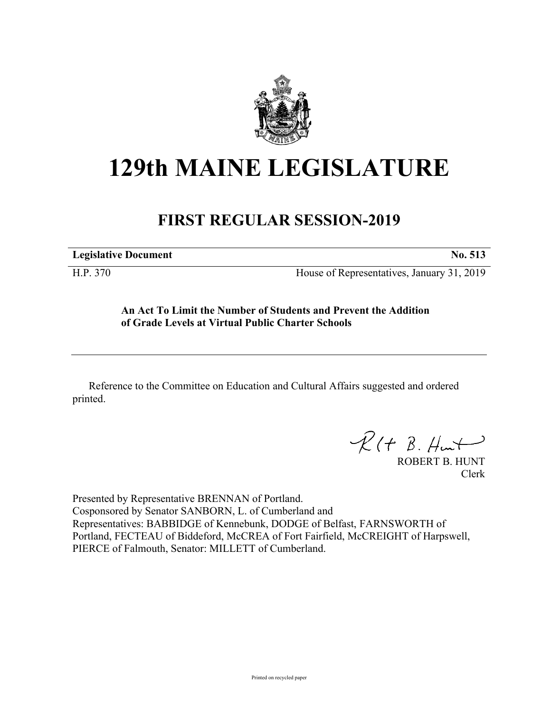

## **129th MAINE LEGISLATURE**

## **FIRST REGULAR SESSION-2019**

**Legislative Document No. 513**

H.P. 370 House of Representatives, January 31, 2019

## **An Act To Limit the Number of Students and Prevent the Addition of Grade Levels at Virtual Public Charter Schools**

Reference to the Committee on Education and Cultural Affairs suggested and ordered printed.

 $R(H B. H<sub>un</sub>+)$ 

ROBERT B. HUNT Clerk

Presented by Representative BRENNAN of Portland. Cosponsored by Senator SANBORN, L. of Cumberland and Representatives: BABBIDGE of Kennebunk, DODGE of Belfast, FARNSWORTH of Portland, FECTEAU of Biddeford, McCREA of Fort Fairfield, McCREIGHT of Harpswell, PIERCE of Falmouth, Senator: MILLETT of Cumberland.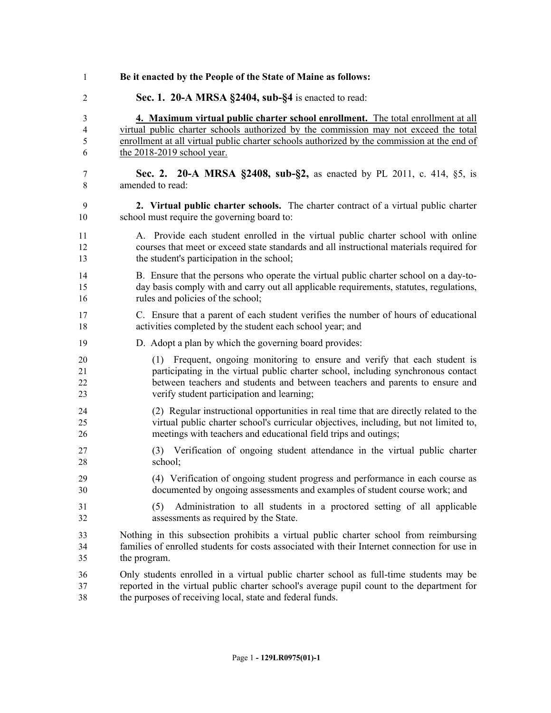| 1                       | Be it enacted by the People of the State of Maine as follows:                                                           |
|-------------------------|-------------------------------------------------------------------------------------------------------------------------|
| $\overline{c}$          | Sec. 1. 20-A MRSA §2404, sub-§4 is enacted to read:                                                                     |
| 3                       | 4. Maximum virtual public charter school enrollment. The total enrollment at all                                        |
| $\overline{\mathbf{4}}$ | virtual public charter schools authorized by the commission may not exceed the total                                    |
| 5                       | enrollment at all virtual public charter schools authorized by the commission at the end of                             |
| 6                       | the 2018-2019 school year.                                                                                              |
| 7                       | Sec. 2. 20-A MRSA §2408, sub-§2, as enacted by PL 2011, c. 414, §5, is                                                  |
| 8                       | amended to read:                                                                                                        |
| 9                       | 2. Virtual public charter schools. The charter contract of a virtual public charter                                     |
| 10                      | school must require the governing board to:                                                                             |
| 11                      | A. Provide each student enrolled in the virtual public charter school with online                                       |
| 12                      | courses that meet or exceed state standards and all instructional materials required for                                |
| 13                      | the student's participation in the school;                                                                              |
| 14                      | B. Ensure that the persons who operate the virtual public charter school on a day-to-                                   |
| 15                      | day basis comply with and carry out all applicable requirements, statutes, regulations,                                 |
| 16                      | rules and policies of the school;                                                                                       |
| 17                      | C. Ensure that a parent of each student verifies the number of hours of educational                                     |
| 18                      | activities completed by the student each school year; and                                                               |
| 19                      | D. Adopt a plan by which the governing board provides:                                                                  |
| 20                      | (1) Frequent, ongoing monitoring to ensure and verify that each student is                                              |
| 21                      | participating in the virtual public charter school, including synchronous contact                                       |
| 22                      | between teachers and students and between teachers and parents to ensure and                                            |
| 23                      | verify student participation and learning;                                                                              |
| 24                      | (2) Regular instructional opportunities in real time that are directly related to the                                   |
| 25                      | virtual public charter school's curricular objectives, including, but not limited to,                                   |
| 26                      | meetings with teachers and educational field trips and outings;                                                         |
| 27                      | (3) Verification of ongoing student attendance in the virtual public charter                                            |
| 28                      | school;                                                                                                                 |
| 29                      | (4) Verification of ongoing student progress and performance in each course as                                          |
| 30                      | documented by ongoing assessments and examples of student course work; and                                              |
| 31<br>32                | (5)<br>Administration to all students in a proctored setting of all applicable<br>assessments as required by the State. |
| 33                      | Nothing in this subsection prohibits a virtual public charter school from reimbursing                                   |
| 34                      | families of enrolled students for costs associated with their Internet connection for use in                            |
| 35                      | the program.                                                                                                            |
| 36                      | Only students enrolled in a virtual public charter school as full-time students may be                                  |
| 37                      | reported in the virtual public charter school's average pupil count to the department for                               |
| 38                      | the purposes of receiving local, state and federal funds.                                                               |